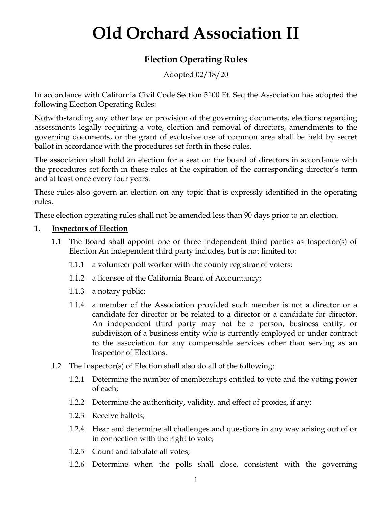# **Old Orchard Association II**

# **Election Operating Rules**

Adopted 02/18/20

In accordance with California Civil Code Section 5100 Et. Seq the Association has adopted the following Election Operating Rules:

Notwithstanding any other law or provision of the governing documents, elections regarding assessments legally requiring a vote, election and removal of directors, amendments to the governing documents, or the grant of exclusive use of common area shall be held by secret ballot in accordance with the procedures set forth in these rules.

The association shall hold an election for a seat on the board of directors in accordance with the procedures set forth in these rules at the expiration of the corresponding director's term and at least once every four years.

These rules also govern an election on any topic that is expressly identified in the operating rules.

These election operating rules shall not be amended less than 90 days prior to an election.

## **1. Inspectors of Election**

- 1.1 The Board shall appoint one or three independent third parties as Inspector(s) of Election An independent third party includes, but is not limited to:
	- 1.1.1 a volunteer poll worker with the county registrar of voters;
	- 1.1.2 a licensee of the California Board of Accountancy;
	- 1.1.3 a notary public;
	- 1.1.4 a member of the Association provided such member is not a director or a candidate for director or be related to a director or a candidate for director. An independent third party may not be a person, business entity, or subdivision of a business entity who is currently employed or under contract to the association for any compensable services other than serving as an Inspector of Elections.
- 1.2 The Inspector(s) of Election shall also do all of the following:
	- 1.2.1 Determine the number of memberships entitled to vote and the voting power of each;
	- 1.2.2 Determine the authenticity, validity, and effect of proxies, if any;
	- 1.2.3 Receive ballots;
	- 1.2.4 Hear and determine all challenges and questions in any way arising out of or in connection with the right to vote;
	- 1.2.5 Count and tabulate all votes;
	- 1.2.6 Determine when the polls shall close, consistent with the governing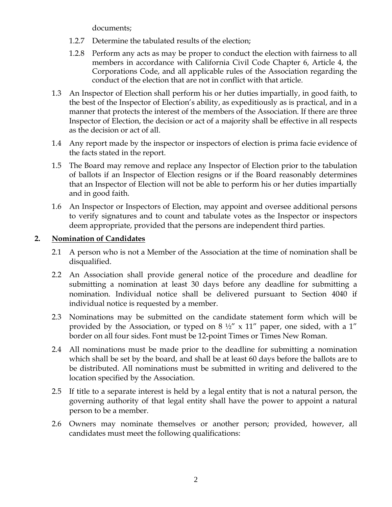documents;

- 1.2.7 Determine the tabulated results of the election;
- 1.2.8 Perform any acts as may be proper to conduct the election with fairness to all members in accordance with California Civil Code Chapter 6, Article 4, the Corporations Code, and all applicable rules of the Association regarding the conduct of the election that are not in conflict with that article.
- 1.3 An Inspector of Election shall perform his or her duties impartially, in good faith, to the best of the Inspector of Election's ability, as expeditiously as is practical, and in a manner that protects the interest of the members of the Association. If there are three Inspector of Election, the decision or act of a majority shall be effective in all respects as the decision or act of all.
- 1.4 Any report made by the inspector or inspectors of election is prima facie evidence of the facts stated in the report.
- 1.5 The Board may remove and replace any Inspector of Election prior to the tabulation of ballots if an Inspector of Election resigns or if the Board reasonably determines that an Inspector of Election will not be able to perform his or her duties impartially and in good faith.
- 1.6 An Inspector or Inspectors of Election, may appoint and oversee additional persons to verify signatures and to count and tabulate votes as the Inspector or inspectors deem appropriate, provided that the persons are independent third parties.

# **2. Nomination of Candidates**

- 2.1 A person who is not a Member of the Association at the time of nomination shall be disqualified.
- 2.2 An Association shall provide general notice of the procedure and deadline for submitting a nomination at least 30 days before any deadline for submitting a nomination. Individual notice shall be delivered pursuant to Section 4040 if individual notice is requested by a member.
- 2.3 Nominations may be submitted on the candidate statement form which will be provided by the Association, or typed on 8  $\frac{1}{2}$ " x 11" paper, one sided, with a 1" border on all four sides. Font must be 12-point Times or Times New Roman.
- 2.4 All nominations must be made prior to the deadline for submitting a nomination which shall be set by the board, and shall be at least 60 days before the ballots are to be distributed. All nominations must be submitted in writing and delivered to the location specified by the Association.
- 2.5 If title to a separate interest is held by a legal entity that is not a natural person, the governing authority of that legal entity shall have the power to appoint a natural person to be a member.
- 2.6 Owners may nominate themselves or another person; provided, however, all candidates must meet the following qualifications: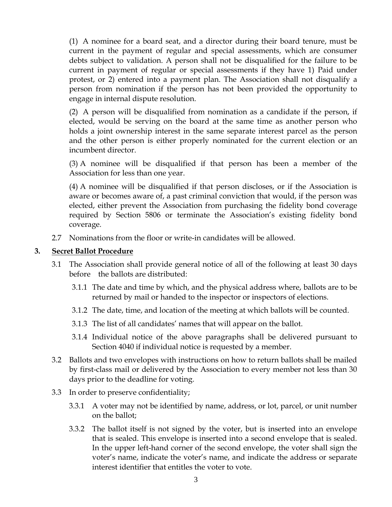(1) A nominee for a board seat, and a director during their board tenure, must be current in the payment of regular and special assessments, which are consumer debts subject to validation. A person shall not be disqualified for the failure to be current in payment of regular or special assessments if they have 1) Paid under protest, or 2) entered into a payment plan. The Association shall not disqualify a person from nomination if the person has not been provided the opportunity to engage in internal dispute resolution.

(2) A person will be disqualified from nomination as a candidate if the person, if elected, would be serving on the board at the same time as another person who holds a joint ownership interest in the same separate interest parcel as the person and the other person is either properly nominated for the current election or an incumbent director.

(3) A nominee will be disqualified if that person has been a member of the Association for less than one year.

(4) A nominee will be disqualified if that person discloses, or if the Association is aware or becomes aware of, a past criminal conviction that would, if the person was elected, either prevent the Association from purchasing the fidelity bond coverage required by Section 5806 or terminate the Association's existing fidelity bond coverage.

2.7 Nominations from the floor or write-in candidates will be allowed.

#### **3. Secret Ballot Procedure**

- 3.1 The Association shall provide general notice of all of the following at least 30 days before the ballots are distributed:
	- 3.1.1 The date and time by which, and the physical address where, ballots are to be returned by mail or handed to the inspector or inspectors of elections.
	- 3.1.2 The date, time, and location of the meeting at which ballots will be counted.
	- 3.1.3 The list of all candidates' names that will appear on the ballot.
	- 3.1.4 Individual notice of the above paragraphs shall be delivered pursuant to Section 4040 if individual notice is requested by a member.
- 3.2 Ballots and two envelopes with instructions on how to return ballots shall be mailed by first-class mail or delivered by the Association to every member not less than 30 days prior to the deadline for voting.
- 3.3 In order to preserve confidentiality;
	- 3.3.1 A voter may not be identified by name, address, or lot, parcel, or unit number on the ballot;
	- 3.3.2 The ballot itself is not signed by the voter, but is inserted into an envelope that is sealed. This envelope is inserted into a second envelope that is sealed. In the upper left-hand corner of the second envelope, the voter shall sign the voter's name, indicate the voter's name, and indicate the address or separate interest identifier that entitles the voter to vote.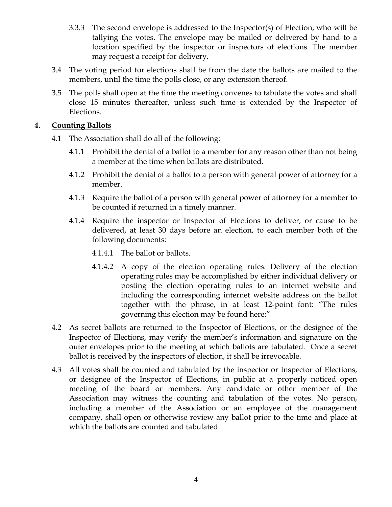- 3.3.3 The second envelope is addressed to the Inspector(s) of Election, who will be tallying the votes. The envelope may be mailed or delivered by hand to a location specified by the inspector or inspectors of elections. The member may request a receipt for delivery.
- 3.4 The voting period for elections shall be from the date the ballots are mailed to the members, until the time the polls close, or any extension thereof.
- 3.5 The polls shall open at the time the meeting convenes to tabulate the votes and shall close 15 minutes thereafter, unless such time is extended by the Inspector of Elections.

## **4. Counting Ballots**

- 4.1 The Association shall do all of the following:
	- 4.1.1 Prohibit the denial of a ballot to a member for any reason other than not being a member at the time when ballots are distributed.
	- 4.1.2 Prohibit the denial of a ballot to a person with general power of attorney for a member.
	- 4.1.3 Require the ballot of a person with general power of attorney for a member to be counted if returned in a timely manner.
	- 4.1.4 Require the inspector or Inspector of Elections to deliver, or cause to be delivered, at least 30 days before an election, to each member both of the following documents:
		- 4.1.4.1 The ballot or ballots.
		- 4.1.4.2 A copy of the election operating rules. Delivery of the election operating rules may be accomplished by either individual delivery or posting the election operating rules to an internet website and including the corresponding internet website address on the ballot together with the phrase, in at least 12-point font: "The rules governing this election may be found here:"
- 4.2 As secret ballots are returned to the Inspector of Elections, or the designee of the Inspector of Elections, may verify the member's information and signature on the outer envelopes prior to the meeting at which ballots are tabulated. Once a secret ballot is received by the inspectors of election, it shall be irrevocable.
- 4.3 All votes shall be counted and tabulated by the inspector or Inspector of Elections, or designee of the Inspector of Elections, in public at a properly noticed open meeting of the board or members. Any candidate or other member of the Association may witness the counting and tabulation of the votes. No person, including a member of the Association or an employee of the management company, shall open or otherwise review any ballot prior to the time and place at which the ballots are counted and tabulated.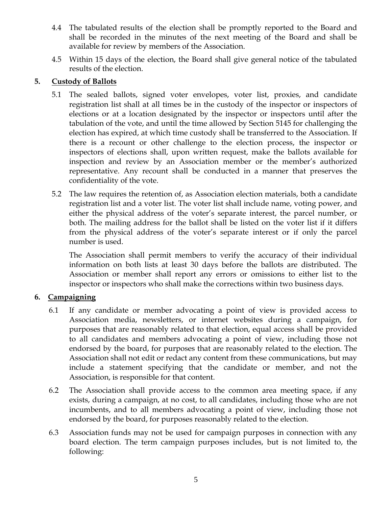- 4.4 The tabulated results of the election shall be promptly reported to the Board and shall be recorded in the minutes of the next meeting of the Board and shall be available for review by members of the Association.
- 4.5 Within 15 days of the election, the Board shall give general notice of the tabulated results of the election.

# **5. Custody of Ballots**

- 5.1 The sealed ballots, signed voter envelopes, voter list, proxies, and candidate registration list shall at all times be in the custody of the inspector or inspectors of elections or at a location designated by the inspector or inspectors until after the tabulation of the vote, and until the time allowed by Section 5145 for challenging the election has expired, at which time custody shall be transferred to the Association. If there is a recount or other challenge to the election process, the inspector or inspectors of elections shall, upon written request, make the ballots available for inspection and review by an Association member or the member's authorized representative. Any recount shall be conducted in a manner that preserves the confidentiality of the vote.
- 5.2 The law requires the retention of, as Association election materials, both a candidate registration list and a voter list. The voter list shall include name, voting power, and either the physical address of the voter's separate interest, the parcel number, or both. The mailing address for the ballot shall be listed on the voter list if it differs from the physical address of the voter's separate interest or if only the parcel number is used.

The Association shall permit members to verify the accuracy of their individual information on both lists at least 30 days before the ballots are distributed. The Association or member shall report any errors or omissions to either list to the inspector or inspectors who shall make the corrections within two business days.

# **6. Campaigning**

- 6.1 If any candidate or member advocating a point of view is provided access to Association media, newsletters, or internet websites during a campaign, for purposes that are reasonably related to that election, equal access shall be provided to all candidates and members advocating a point of view, including those not endorsed by the board, for purposes that are reasonably related to the election. The Association shall not edit or redact any content from these communications, but may include a statement specifying that the candidate or member, and not the Association, is responsible for that content.
- 6.2 The Association shall provide access to the common area meeting space, if any exists, during a campaign, at no cost, to all candidates, including those who are not incumbents, and to all members advocating a point of view, including those not endorsed by the board, for purposes reasonably related to the election.
- 6.3 Association funds may not be used for campaign purposes in connection with any board election. The term campaign purposes includes, but is not limited to, the following: